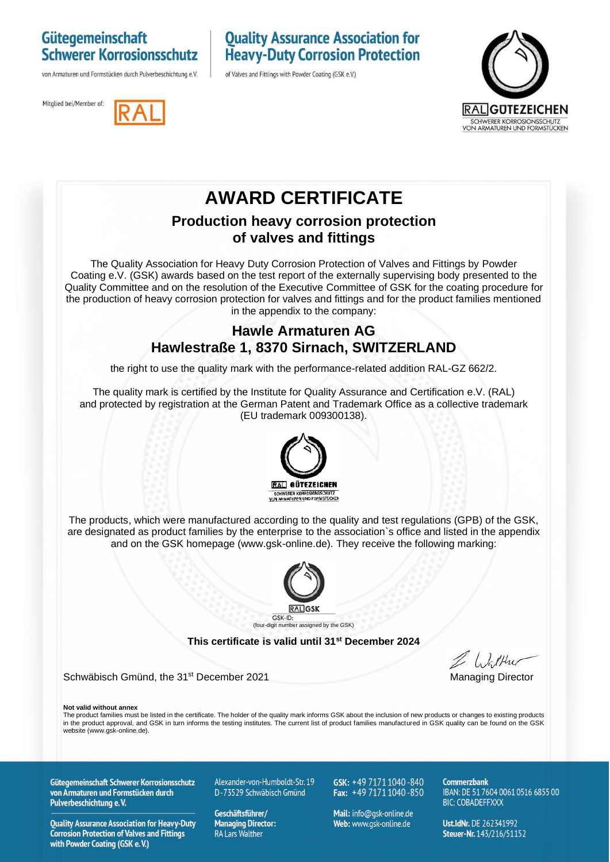### Gütegemeinschaft **Schwerer Korrosionsschutz**

von Armaturen und Formstücken durch Pulverbeschichtung e.V.

### **Quality Assurance Association for Heavy-Duty Corrosion Protection**

of Valves and Fittings with Powder Coating (GSK e.V.)





## **AWARD CERTIFICATE**

#### **Production heavy corrosion protection of valves and fittings**

The Quality Association for Heavy Duty Corrosion Protection of Valves and Fittings by Powder Coating e.V. (GSK) awards based on the test report of the externally supervising body presented to the Quality Committee and on the resolution of the Executive Committee of GSK for the coating procedure for the production of heavy corrosion protection for valves and fittings and for the product families mentioned in the appendix to the company:

### **Hawle Armaturen AG Hawlestraße 1, 8370 Sirnach, SWITZERLAND**

the right to use the quality mark with the performance-related addition RAL-GZ 662/2.

The quality mark is certified by the Institute for Quality Assurance and Certification e.V. (RAL) and protected by registration at the German Patent and Trademark Office as a collective trademark (EU trademark 009300138).



The products, which were manufactured according to the quality and test regulations (GPB) of the GSK, are designated as product families by the enterprise to the association`s office and listed in the appendix and on the GSK homepage (www.gsk-online.de). They receive the following marking:



**This certificate is valid until 31st December 2024**

Schwäbisch Gmünd, the 31<sup>st</sup> December 2021 Managing Director

**Not valid without annex**

The product families must be listed in the certificate. The holder of the quality mark informs GSK about the inclusion of new products or changes to existing products in the product approval, and GSK in turn informs the testing institutes. The current list of product families manufactured in GSK quality can be found on the GSK website (www.gsk-online.de).

Gütegemeinschaft Schwerer Korrosionsschutz von Armaturen und Formstücken durch Pulverbeschichtung e.V.

**Quality Assurance Association for Heavy-Duty Corrosion Protection of Valves and Fittings** with Powder Coating (GSK e.V.)

Alexander-von-Humboldt-Str. 19 D-73529 Schwäbisch Gmünd

Geschäftsführer/ **Managing Director: RA Lars Walther** 

GSK: +49 7171 1040-840 Fax:  $+49\,7171\,1040\,850$ 

Mail: info@qsk-online.de Web: www.gsk-online.de

Commerzhank IBAN: DE 51 7604 0061 0516 6855 00 **BIC: COBADEFFXXX** 

Ust.IdNr. DE 262341992 Steuer-Nr. 143/216/51152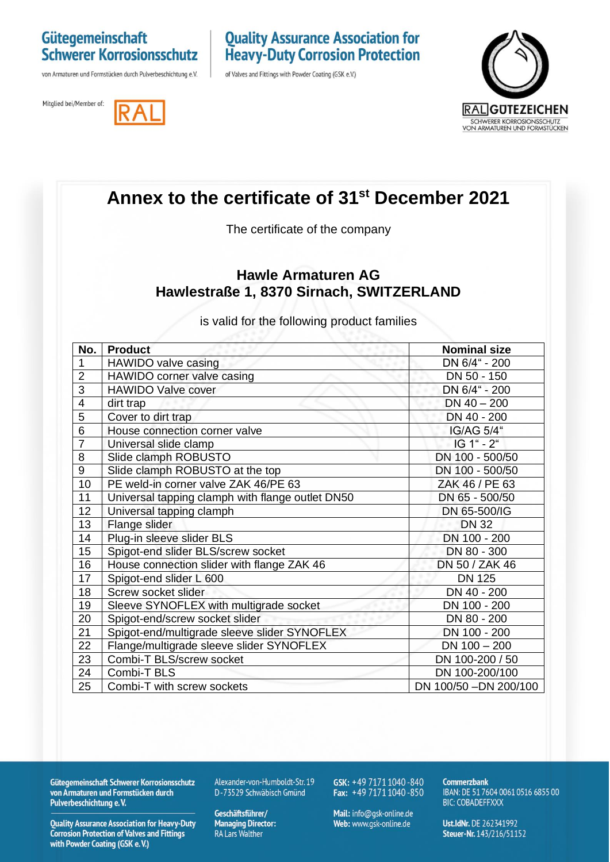# Gütegemeinschaft<br>Schwerer Korrosionsschutz

von Armaturen und Formstücken durch Pulverbeschichtung e.V.

Mitglied bei/Member of:

# **Quality Assurance Association for<br>Heavy-Duty Corrosion Protection**

of Valves and Fittings with Powder Coating (GSK e.V.)





|                                                                                                                      | Annex to the certificate of 31 <sup>st</sup> December 2021<br>The certificate of the company |                        |  |
|----------------------------------------------------------------------------------------------------------------------|----------------------------------------------------------------------------------------------|------------------------|--|
|                                                                                                                      |                                                                                              |                        |  |
| <b>Hawle Armaturen AG</b><br>Hawlestraße 1, 8370 Sirnach, SWITZERLAND<br>is valid for the following product families |                                                                                              |                        |  |
| No.                                                                                                                  | <b>Product</b>                                                                               | <b>Nominal size</b>    |  |
| $\mathbf{1}$                                                                                                         | HAWIDO valve casing                                                                          | DN 6/4" - 200          |  |
| $\overline{2}$                                                                                                       | HAWIDO corner valve casing                                                                   | DN 50 - 150            |  |
| 3                                                                                                                    | <b>HAWIDO Valve cover</b>                                                                    | DN 6/4" - 200          |  |
| $\overline{4}$                                                                                                       | dirt trap                                                                                    | $DN 40 - 200$          |  |
| $\overline{5}$                                                                                                       | Cover to dirt trap                                                                           | DN 40 - 200            |  |
| 6                                                                                                                    | House connection corner valve                                                                | IG/AG 5/4"             |  |
| $\overline{7}$                                                                                                       | Universal slide clamp                                                                        | IG 1" - 2"             |  |
| 8                                                                                                                    | Slide clamph ROBUSTO                                                                         | DN 100 - 500/50        |  |
| 9                                                                                                                    | Slide clamph ROBUSTO at the top                                                              | DN 100 - 500/50        |  |
| 10                                                                                                                   | PE weld-in corner valve ZAK 46/PE 63                                                         | ZAK 46 / PE 63         |  |
| 11                                                                                                                   | Universal tapping clamph with flange outlet DN50                                             | DN 65 - 500/50         |  |
| 12 <sub>2</sub>                                                                                                      | Universal tapping clamph                                                                     | DN 65-500/IG           |  |
| 13                                                                                                                   | Flange slider                                                                                | <b>DN 32</b>           |  |
| 14                                                                                                                   | Plug-in sleeve slider BLS                                                                    | DN 100 - 200           |  |
| 15                                                                                                                   | Spigot-end slider BLS/screw socket                                                           | DN 80 - 300            |  |
| 16                                                                                                                   | House connection slider with flange ZAK 46                                                   | DN 50 / ZAK 46         |  |
| 17                                                                                                                   | Spigot-end slider L 600                                                                      | <b>DN 125</b>          |  |
| 18                                                                                                                   | Screw socket slider                                                                          | DN 40 - 200            |  |
| 19                                                                                                                   | Sleeve SYNOFLEX with multigrade socket                                                       | DN 100 - 200           |  |
| 20                                                                                                                   | Spigot-end/screw socket slider                                                               | DN 80 - 200            |  |
| 21                                                                                                                   | Spigot-end/multigrade sleeve slider SYNOFLEX                                                 | DN 100 - 200           |  |
| 22                                                                                                                   | Flange/multigrade sleeve slider SYNOFLEX                                                     | $DN 100 - 200$         |  |
| 23                                                                                                                   | Combi-T BLS/screw socket                                                                     | DN 100-200 / 50        |  |
| 24                                                                                                                   | Combi-T BLS                                                                                  | DN 100-200/100         |  |
| 25                                                                                                                   | Combi-T with screw sockets                                                                   | DN 100/50 - DN 200/100 |  |

Gütegemeinschaft Schwerer Korrosionsschutz<br>von Armaturen und Formstücken durch Pulverbeschichtung e.V.

Quality Assurance Association for Heavy-Duty<br>Corrosion Protection of Valves and Fittings with Powder Coating (GSK e.V.)

Alexander-von-Humboldt-Str. 19 D-73529 Schwäbisch Gmünd

Geschäftsführer/ Managing Director:<br>RA Lars Walther GSK: +49 7171 1040-840<br>Fax: +49 7171 1040-850

Mail: info@gsk-online.de Web: www.gsk-online.de

**Commerzbank** IBAN: DE 51 7604 0061 0516 6855 00 **BIC: COBADEFFXXX** 

Ust.IdNr. DE 262341992 Steuer-Nr. 143/216/51152